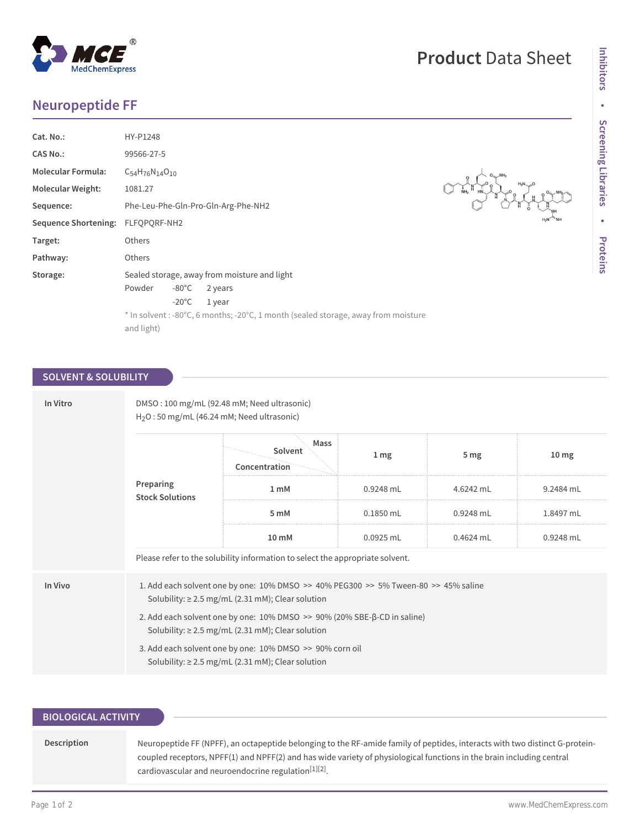# **Neuropeptide FF**

| Cat. No.:                         | HY-P1248                                                                           |                 |         |  |  |  |
|-----------------------------------|------------------------------------------------------------------------------------|-----------------|---------|--|--|--|
| <b>CAS No.:</b>                   | 99566-27-5                                                                         |                 |         |  |  |  |
| <b>Molecular Formula:</b>         | $C_{54}H_{76}N_{14}O_{10}$                                                         |                 |         |  |  |  |
| <b>Molecular Weight:</b>          | 1081.27                                                                            |                 |         |  |  |  |
| Sequence:                         | Phe-Leu-Phe-Gln-Pro-Gln-Arg-Phe-NH2                                                |                 |         |  |  |  |
| Sequence Shortening: FLFQPQRF-NH2 |                                                                                    |                 |         |  |  |  |
| Target:                           | Others                                                                             |                 |         |  |  |  |
| Pathway:                          | Others                                                                             |                 |         |  |  |  |
| Storage:                          | Sealed storage, away from moisture and light                                       |                 |         |  |  |  |
|                                   | Powder                                                                             | $-80^{\circ}$ C | 2 years |  |  |  |
|                                   |                                                                                    | $-20^{\circ}$ C | 1 year  |  |  |  |
|                                   | * In solvent : -80°C, 6 months; -20°C, 1 month (sealed storage, away from moisture |                 |         |  |  |  |
|                                   | and light)                                                                         |                 |         |  |  |  |
|                                   |                                                                                    |                 |         |  |  |  |

### **SOLVENT & SOLUBILITY**

| In Vitro | DMSO: 100 mg/mL (92.48 mM; Need ultrasonic)<br>$H2O$ : 50 mg/mL (46.24 mM; Need ultrasonic)                                                         |                                  |                 |                 |                 |  |  |  |
|----------|-----------------------------------------------------------------------------------------------------------------------------------------------------|----------------------------------|-----------------|-----------------|-----------------|--|--|--|
|          |                                                                                                                                                     | Mass<br>Solvent<br>Concentration | 1 <sub>mg</sub> | 5 <sub>mg</sub> | $10 \text{ mg}$ |  |  |  |
|          | Preparing<br><b>Stock Solutions</b>                                                                                                                 | 1 <sub>m</sub> M                 | 0.9248 mL       | 4.6242 mL       | 9.2484 mL       |  |  |  |
|          |                                                                                                                                                     | 5 mM                             | 0.1850 mL       | 0.9248 mL       | 1.8497 mL       |  |  |  |
|          |                                                                                                                                                     | 10 mM                            | $0.0925$ mL     | 0.4624 mL       | 0.9248 mL       |  |  |  |
|          | Please refer to the solubility information to select the appropriate solvent.                                                                       |                                  |                 |                 |                 |  |  |  |
| In Vivo  | 1. Add each solvent one by one: $10\%$ DMSO >> $40\%$ PEG300 >> 5% Tween-80 >> 45% saline<br>Solubility: $\geq$ 2.5 mg/mL (2.31 mM); Clear solution |                                  |                 |                 |                 |  |  |  |
|          | 2. Add each solvent one by one: $10\%$ DMSO $\gg$ 90% (20% SBE- $\beta$ -CD in saline)<br>Solubility: $\geq$ 2.5 mg/mL (2.31 mM); Clear solution    |                                  |                 |                 |                 |  |  |  |
|          | 3. Add each solvent one by one: 10% DMSO >> 90% corn oil<br>Solubility: $\geq$ 2.5 mg/mL (2.31 mM); Clear solution                                  |                                  |                 |                 |                 |  |  |  |

## **BIOLOGICAL ACTIVITY**

| Description | Neuropeptide FF (NPFF), an octapeptide belonging to the RF-amide family of peptides, interacts with two distinct G-protein- |
|-------------|-----------------------------------------------------------------------------------------------------------------------------|
|             | coupled receptors, NPFF(1) and NPFF(2) and has wide variety of physiological functions in the brain including central       |
|             | cardiovascular and neuroendocrine regulation <sup>[1][2]</sup> .                                                            |



Leo I

**Product** Data Sheet